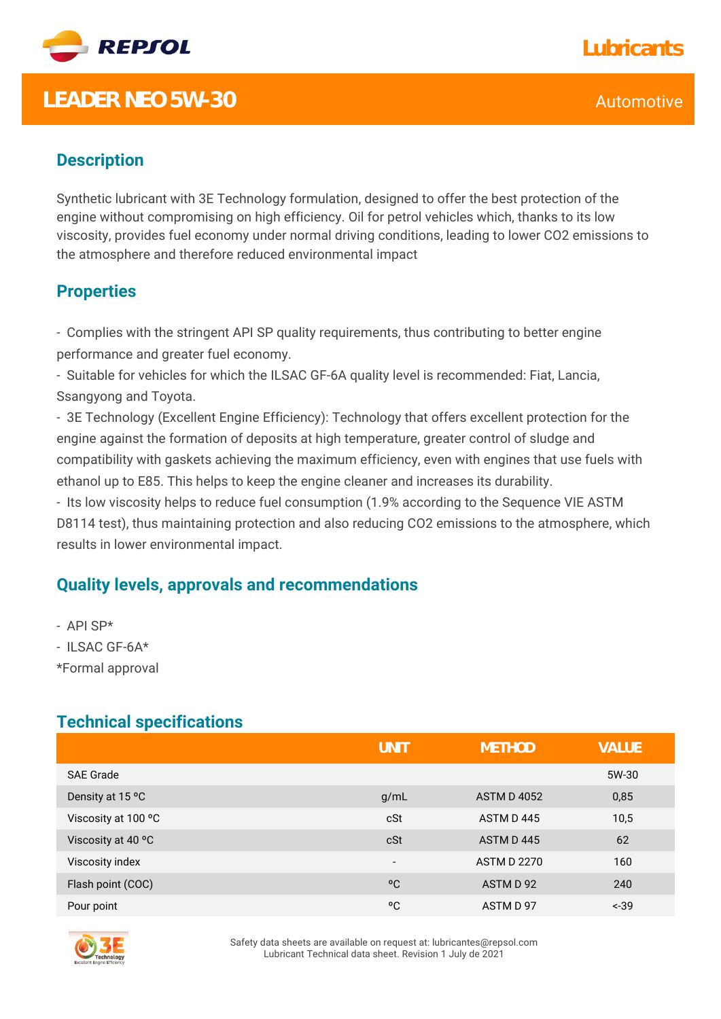

## **LEADER NEO 5W-30** Automotive CONSERVITY CONTROL CONTROL CONTROL CONTROL CONTROL CONTROL CONTROL CONTROL CONTROL CONTROL CONTROL CONTROL CONTROL CONTROL CONTROL CONTROL CONTROL CONTROL CONTROL CONTROL CONTROL CONTROL CONTR

## **Lubricants**

### **Description**

Synthetic lubricant with 3E Technology formulation, designed to offer the best protection of the engine without compromising on high efficiency. Oil for petrol vehicles which, thanks to its low viscosity, provides fuel economy under normal driving conditions, leading to lower CO2 emissions to the atmosphere and therefore reduced environmental impact

#### **Properties**

- Complies with the stringent API SP quality requirements, thus contributing to better engine performance and greater fuel economy.

- Suitable for vehicles for which the ILSAC GF-6A quality level is recommended: Fiat, Lancia, Ssangyong and Toyota.

- 3E Technology (Excellent Engine Efficiency): Technology that offers excellent protection for the engine against the formation of deposits at high temperature, greater control of sludge and compatibility with gaskets achieving the maximum efficiency, even with engines that use fuels with ethanol up to E85. This helps to keep the engine cleaner and increases its durability.

- Its low viscosity helps to reduce fuel consumption (1.9% according to the Sequence VIE ASTM D8114 test), thus maintaining protection and also reducing CO2 emissions to the atmosphere, which results in lower environmental impact.

#### **Quality levels, approvals and recommendations**

- API SP\*

- ILSAC GF-6A\*

\*Formal approval

#### **Technical specifications**

|                     | UNIT                     | <b>METHOD</b>      | <b>VALUE</b> |
|---------------------|--------------------------|--------------------|--------------|
| <b>SAE Grade</b>    |                          |                    | 5W-30        |
| Density at 15 °C    | g/mL                     | <b>ASTM D 4052</b> | 0,85         |
| Viscosity at 100 °C | cSt                      | ASTM D445          | 10,5         |
| Viscosity at 40 °C  | cSt                      | ASTM D445          | 62           |
| Viscosity index     | $\overline{\phantom{a}}$ | <b>ASTM D 2270</b> | 160          |
| Flash point (COC)   | $^{\circ}$ C             | ASTM D 92          | 240          |
| Pour point          | °C                       | ASTM D 97          | $-39$        |



Safety data sheets are available on request at: lubricantes@repsol.com Lubricant Technical data sheet. Revision 1 July de 2021